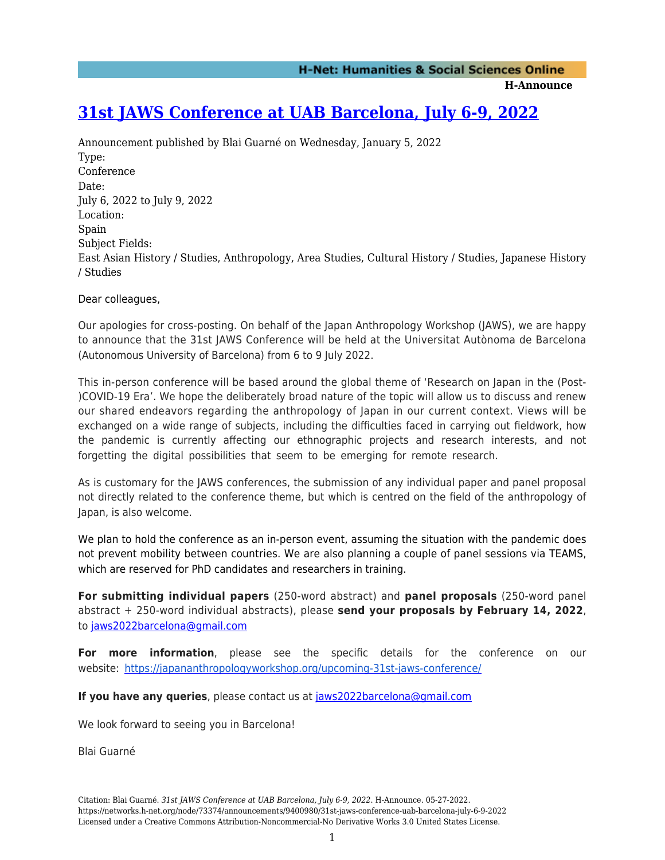**H-Announce** 

## **[31st JAWS Conference at UAB Barcelona, July 6-9, 2022](https://networks.h-net.org/node/73374/announcements/9400980/31st-jaws-conference-uab-barcelona-july-6-9-2022)**

Announcement published by Blai Guarné on Wednesday, January 5, 2022 Type: Conference Date: July 6, 2022 to July 9, 2022 Location: Spain Subject Fields: East Asian History / Studies, Anthropology, Area Studies, Cultural History / Studies, Japanese History / Studies

Dear colleagues,

Our apologies for cross-posting. On behalf of the Japan Anthropology Workshop (JAWS), we are happy to announce that the 31st JAWS Conference will be held at the Universitat Autònoma de Barcelona (Autonomous University of Barcelona) from 6 to 9 July 2022.

This in-person conference will be based around the global theme of 'Research on Japan in the (Post- )COVID-19 Era'. We hope the deliberately broad nature of the topic will allow us to discuss and renew our shared endeavors regarding the anthropology of Japan in our current context. Views will be exchanged on a wide range of subjects, including the difficulties faced in carrying out fieldwork, how the pandemic is currently affecting our ethnographic projects and research interests, and not forgetting the digital possibilities that seem to be emerging for remote research.

As is customary for the JAWS conferences, the submission of any individual paper and panel proposal not directly related to the conference theme, but which is centred on the field of the anthropology of Japan, is also welcome.

We plan to hold the conference as an in-person event, assuming the situation with the pandemic does not prevent mobility between countries. We are also planning a couple of panel sessions via TEAMS, which are reserved for PhD candidates and researchers in training.

**For submitting individual papers** (250-word abstract) and **panel proposals** (250-word panel abstract + 250-word individual abstracts), please **send your proposals by February 14, 2022**, to [jaws2022barcelona@gmail.com](mailto:jaws2022barcelona@gmail.com)

**For more information**, please see the specific details for the conference on our website:<https://japananthropologyworkshop.org/upcoming-31st-jaws-conference/>

**If you have any queries**, please contact us at [jaws2022barcelona@gmail.com](mailto:jaws2022barcelona@gmail.com)

We look forward to seeing you in Barcelona!

Blai Guarné